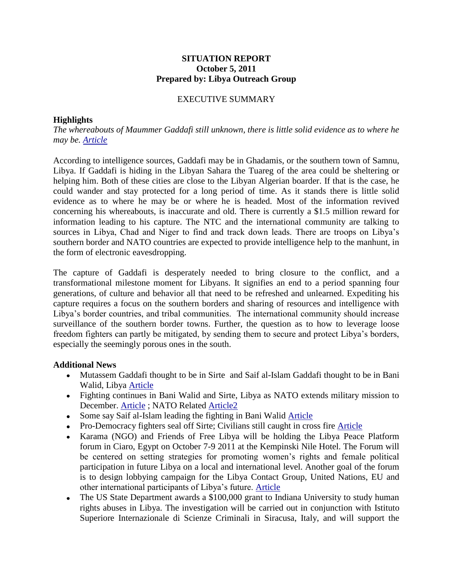## **SITUATION REPORT October 5, 2011 Prepared by: Libya Outreach Group**

## EXECUTIVE SUMMARY

## **Highlights**

*The whereabouts of Maummer Gaddafi still unknown, there is little solid evidence as to where he may be. [Article](http://www.reuters.com/article/2011/10/05/us-libya-gaddafi-idUSTRE7941O220111005)*

According to intelligence sources, Gaddafi may be in Ghadamis, or the southern town of Samnu, Libya. If Gaddafi is hiding in the Libyan Sahara the Tuareg of the area could be sheltering or helping him. Both of these cities are close to the Libyan Algerian boarder. If that is the case, he could wander and stay protected for a long period of time. As it stands there is little solid evidence as to where he may be or where he is headed. Most of the information revived concerning his whereabouts, is inaccurate and old. There is currently a \$1.5 million reward for information leading to his capture. The NTC and the international community are talking to sources in Libya, Chad and Niger to find and track down leads. There are troops on Libya's southern border and NATO countries are expected to provide intelligence help to the manhunt, in the form of electronic eavesdropping.

The capture of Gaddafi is desperately needed to bring closure to the conflict, and a transformational milestone moment for Libyans. It signifies an end to a period spanning four generations, of culture and behavior all that need to be refreshed and unlearned. Expediting his capture requires a focus on the southern borders and sharing of resources and intelligence with Libya's border countries, and tribal communities. The international community should increase surveillance of the southern border towns. Further, the question as to how to leverage loose freedom fighters can partly be mitigated, by sending them to secure and protect Libya's borders, especially the seemingly porous ones in the south.

## **Additional News**

- Mutassem Gaddafi thought to be in Sirte and Saif al-Islam Gaddafi thought to be in Bani Walid, Libya [Article](http://www.reuters.com/article/2011/10/05/us-libya-gaddafi-idUSTRE7941O220111005)
- Fighting continues in Bani Walid and Sirte, Libya as NATO extends military mission to December. [Article](http://www.montrealgazette.com/news/canada-in-afghanistan/Political+infighting+slowing+Libyan+transition+Canadian+observers/5502208/story.html#ixzz1Zvs2a2AR) ; NATO Related [Article2](http://www.voanews.com/english/news/africa/Panetta-says-Libya-Mission-Should-Continue--131102308.html)
- Some say Saif al-Islam leading the fighting in Bani Walid [Article](http://www.hurriyetdailynews.com/n.php?n=8216gadhafi8217s-son-leading-the-resistance-in-bani-walid8217-2011-10-04)
- Pro-Democracy fighters seal off Sirte; Civilians still caught in cross fire [Article](http://www.time.com/time/world/article/0,8599,2095935,00.html)
- Karama (NGO) and Friends of Free Libya will be holding the Libya Peace Platform forum in Ciaro, Egypt on October 7-9 2011 at the Kempinski Nile Hotel. The Forum will be centered on setting strategies for promoting women's rights and female political participation in future Libya on a local and international level. Another goal of the forum is to design lobbying campaign for the Libya Contact Group, United Nations, EU and other international participants of Libya's future. [Article](http://www.facebook.com/l.php?u=http%3A%2F%2Fbikyamasr.com%2F44512%2Flibyan-women-to-plan-roles-in-reconciliation-and-transitional-government%2F&h=uAQCJi0rLAQCLwkoUSgS370bl8Cepq_KtOwqdU_7MGsropg)
- The US State Department awards a \$100,000 grant to Indiana University to study human rights abuses in Libya. The investigation will be carried out in conjunction with Istituto Superiore Internazionale di Scienze Criminali in Siracusa, Italy, and will support the